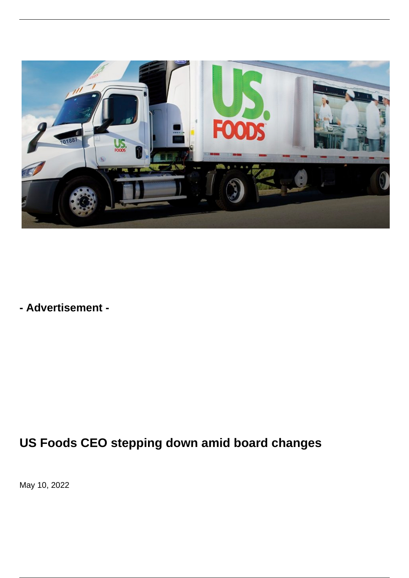

**- Advertisement -**

## **US Foods CEO stepping down amid board changes**

May 10, 2022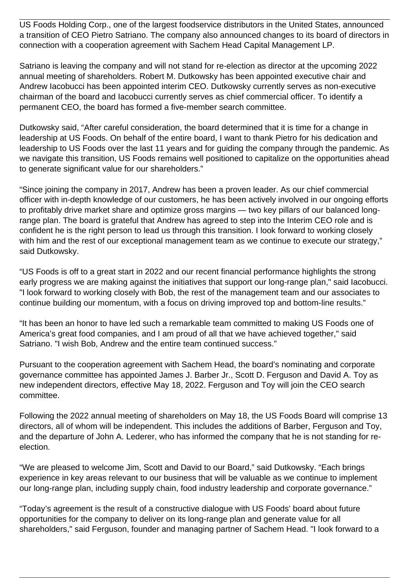US Foods Holding Corp., one of the largest foodservice distributors in the United States, announced a transition of CEO Pietro Satriano. The company also announced changes to its board of directors in connection with a cooperation agreement with Sachem Head Capital Management LP.

Satriano is leaving the company and will not stand for re-election as director at the upcoming 2022 annual meeting of shareholders. Robert M. Dutkowsky has been appointed executive chair and Andrew Iacobucci has been appointed interim CEO. Dutkowsky currently serves as non-executive chairman of the board and Iacobucci currently serves as chief commercial officer. To identify a permanent CEO, the board has formed a five-member search committee.

Dutkowsky said, "After careful consideration, the board determined that it is time for a change in leadership at US Foods. On behalf of the entire board, I want to thank Pietro for his dedication and leadership to US Foods over the last 11 years and for guiding the company through the pandemic. As we navigate this transition, US Foods remains well positioned to capitalize on the opportunities ahead to generate significant value for our shareholders."

"Since joining the company in 2017, Andrew has been a proven leader. As our chief commercial officer with in-depth knowledge of our customers, he has been actively involved in our ongoing efforts to profitably drive market share and optimize gross margins — two key pillars of our balanced longrange plan. The board is grateful that Andrew has agreed to step into the Interim CEO role and is confident he is the right person to lead us through this transition. I look forward to working closely with him and the rest of our exceptional management team as we continue to execute our strategy," said Dutkowsky.

"US Foods is off to a great start in 2022 and our recent financial performance highlights the strong early progress we are making against the initiatives that support our long-range plan," said Iacobucci. "I look forward to working closely with Bob, the rest of the management team and our associates to continue building our momentum, with a focus on driving improved top and bottom-line results."

"It has been an honor to have led such a remarkable team committed to making US Foods one of America's great food companies, and I am proud of all that we have achieved together," said Satriano. "I wish Bob, Andrew and the entire team continued success."

Pursuant to the cooperation agreement with Sachem Head, the board's nominating and corporate governance committee has appointed James J. Barber Jr., Scott D. Ferguson and David A. Toy as new independent directors, effective May 18, 2022. Ferguson and Toy will join the CEO search committee.

Following the 2022 annual meeting of shareholders on May 18, the US Foods Board will comprise 13 directors, all of whom will be independent. This includes the additions of Barber, Ferguson and Toy, and the departure of John A. Lederer, who has informed the company that he is not standing for reelection.

"We are pleased to welcome Jim, Scott and David to our Board," said Dutkowsky. "Each brings experience in key areas relevant to our business that will be valuable as we continue to implement our long-range plan, including supply chain, food industry leadership and corporate governance."

"Today's agreement is the result of a constructive dialogue with US Foods' board about future opportunities for the company to deliver on its long-range plan and generate value for all shareholders," said Ferguson, founder and managing partner of Sachem Head. "I look forward to a